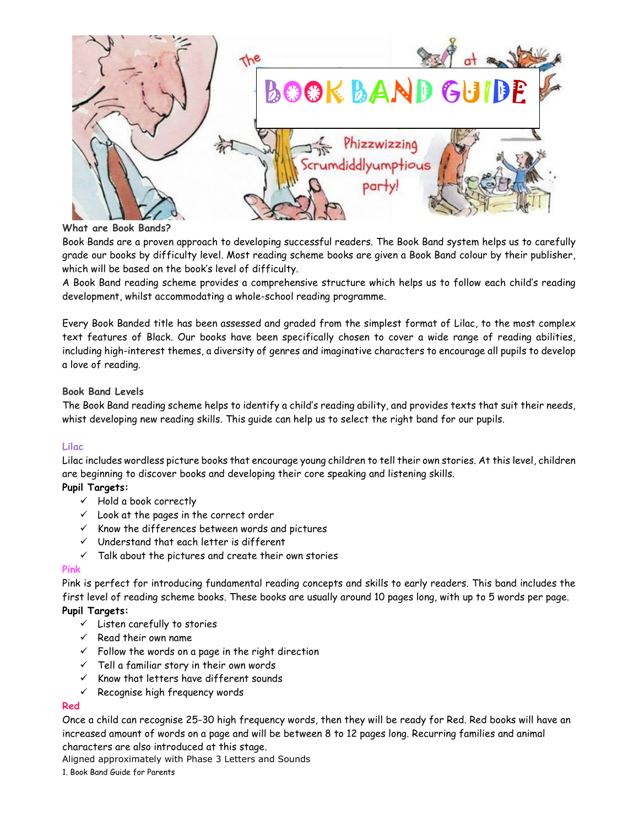

#### **What are Book Bands?**

Book Bands are a proven approach to developing successful readers. The Book Band system helps us to carefully grade our books by difficulty level. Most reading scheme books are given a Book Band colour by their publisher, which will be based on the book's level of difficulty.

A Book Band reading scheme provides a comprehensive structure which helps us to follow each child's reading development, whilst accommodating a whole-school reading programme.

Every Book Banded title has been assessed and graded from the simplest format of Lilac, to the most complex text features of Black. Our books have been specifically chosen to cover a wide range of reading abilities, including high-interest themes, a diversity of genres and imaginative characters to encourage all pupils to develop a love of reading.

#### **Book Band Levels**

The Book Band reading scheme helps to identify a child's reading ability, and provides texts that suit their needs, whist developing new reading skills. This guide can help us to select the right band for our pupils.

## **Lilac**

Lilac includes wordless picture books that encourage young children to tell their own stories. At this level, children are beginning to discover books and developing their core speaking and listening skills.

# **Pupil Targets:**

- $\checkmark$  Hold a book correctly
- $\checkmark$  Look at the pages in the correct order
- $\times$  Know the differences between words and pictures
- $\checkmark$  Understand that each letter is different
- $\checkmark$  Talk about the pictures and create their own stories

#### **Pink**

Pink is perfect for introducing fundamental reading concepts and skills to early readers. This band includes the first level of reading scheme books. These books are usually around 10 pages long, with up to 5 words per page.

## **Pupil Targets:**

- $\checkmark$  Listen carefully to stories
- $\checkmark$  Read their own name
- $\checkmark$  Follow the words on a page in the right direction
- $\checkmark$  Tell a familiar story in their own words
- $\times$  Know that letters have different sounds
- $\checkmark$  Recognise high frequency words

#### **Red**

Once a child can recognise 25-30 high frequency words, then they will be ready for Red. Red books will have an increased amount of words on a page and will be between 8 to 12 pages long. Recurring families and animal characters are also introduced at this stage.

Aligned approximately with Phase 3 Letters and Sounds

1. Book Band Guide for Parents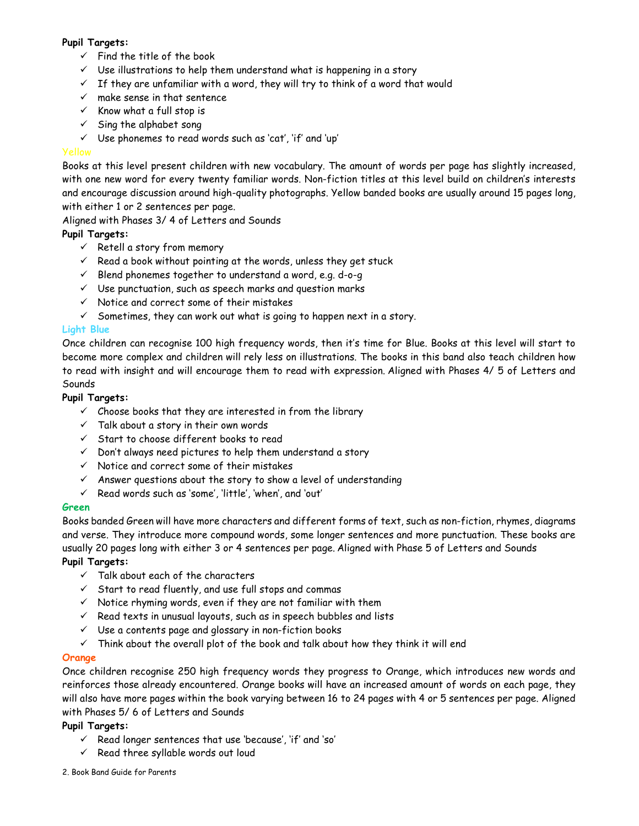# **Pupil Targets:**

- $\checkmark$  Find the title of the book
- $\checkmark$  Use illustrations to help them understand what is happening in a story
- $\checkmark$  If they are unfamiliar with a word, they will try to think of a word that would
- $\times$  make sense in that sentence
- $\checkmark$  Know what a full stop is
- $\checkmark$  Sing the alphabet song
- $\checkmark$  Use phonemes to read words such as 'cat', 'if' and 'up'

Books at this level present children with new vocabulary. The amount of words per page has slightly increased, with one new word for every twenty familiar words. Non-fiction titles at this level build on children's interests and encourage discussion around high-quality photographs. Yellow banded books are usually around 15 pages long, with either 1 or 2 sentences per page.

Aligned with Phases 3/ 4 of Letters and Sounds

# **Pupil Targets:**

- $\checkmark$  Retell a story from memory
- $\checkmark$  Read a book without pointing at the words, unless they get stuck
- $\checkmark$  Blend phonemes together to understand a word, e.g. d-o-g
- $\checkmark$  Use punctuation, such as speech marks and question marks
- $\checkmark$  Notice and correct some of their mistakes
- $\checkmark$  Sometimes, they can work out what is going to happen next in a story.

# **Light Blue**

Once children can recognise 100 high frequency words, then it's time for Blue. Books at this level will start to become more complex and children will rely less on illustrations. The books in this band also teach children how to read with insight and will encourage them to read with expression. Aligned with Phases 4/ 5 of Letters and Sounds

## **Pupil Targets:**

- $\checkmark$  Choose books that they are interested in from the library
- $\checkmark$  Talk about a story in their own words
- $\checkmark$  Start to choose different books to read
- $\checkmark$  Don't always need pictures to help them understand a story
- $\checkmark$  Notice and correct some of their mistakes
- $\checkmark$  Answer questions about the story to show a level of understanding
- $\checkmark$  Read words such as 'some', 'little', 'when', and 'out'

## **Green**

Books banded Green will have more characters and different forms of text, such as non-fiction, rhymes, diagrams and verse. They introduce more compound words, some longer sentences and more punctuation. These books are usually 20 pages long with either 3 or 4 sentences per page. Aligned with Phase 5 of Letters and Sounds

## **Pupil Targets:**

- $\checkmark$  Talk about each of the characters
- $\checkmark$  Start to read fluently, and use full stops and commas
- $\checkmark$  Notice rhyming words, even if they are not familiar with them
- $\checkmark$  Read texts in unusual layouts, such as in speech bubbles and lists
- $\checkmark$  Use a contents page and glossary in non-fiction books
- $\checkmark$  Think about the overall plot of the book and talk about how they think it will end

## **Orange**

Once children recognise 250 high frequency words they progress to Orange, which introduces new words and reinforces those already encountered. Orange books will have an increased amount of words on each page, they will also have more pages within the book varying between 16 to 24 pages with 4 or 5 sentences per page. Aligned with Phases 5/ 6 of Letters and Sounds

## **Pupil Targets:**

- $\checkmark$  Read longer sentences that use 'because', 'if' and 'so'
- $\checkmark$  Read three syllable words out loud
- 2. Book Band Guide for Parents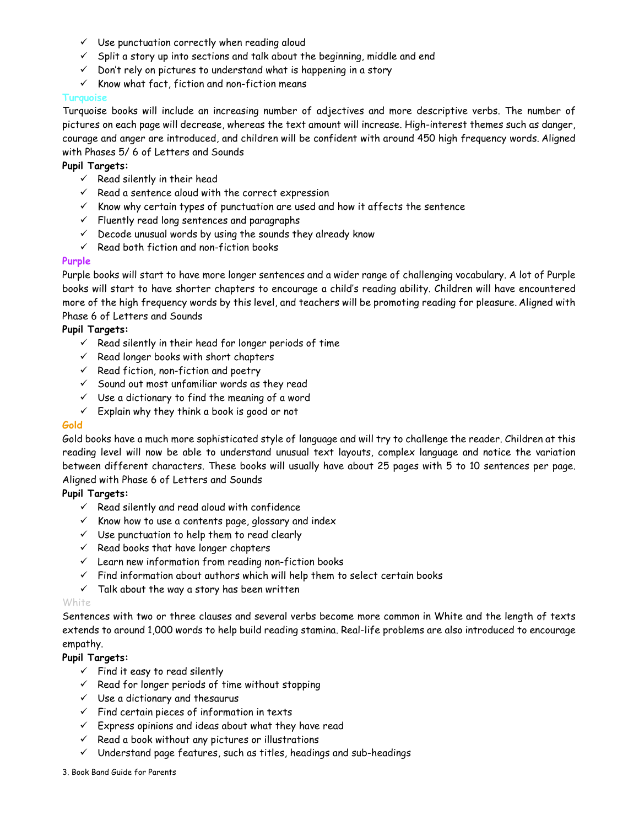- $\checkmark$  Use punctuation correctly when reading aloud
- $\checkmark$  Split a story up into sections and talk about the beginning, middle and end
- $\checkmark$  Don't rely on pictures to understand what is happening in a story
- $\checkmark$  Know what fact, fiction and non-fiction means

#### **Turquois**

Turquoise books will include an increasing number of adjectives and more descriptive verbs. The number of pictures on each page will decrease, whereas the text amount will increase. High-interest themes such as danger, courage and anger are introduced, and children will be confident with around 450 high frequency words. Aligned with Phases 5/ 6 of Letters and Sounds

#### **Pupil Targets:**

- $\checkmark$  Read silently in their head
- $\checkmark$  Read a sentence aloud with the correct expression
- $\checkmark$  Know why certain types of punctuation are used and how it affects the sentence
- $\checkmark$  Fluently read long sentences and paragraphs
- $\checkmark$  Decode unusual words by using the sounds they already know
- $\checkmark$  Read both fiction and non-fiction books

#### **Purple**

Purple books will start to have more longer sentences and a wider range of challenging vocabulary. A lot of Purple books will start to have shorter chapters to encourage a child's reading ability. Children will have encountered more of the high frequency words by this level, and teachers will be promoting reading for pleasure. Aligned with Phase 6 of Letters and Sounds

## **Pupil Targets:**

- $\checkmark$  Read silently in their head for longer periods of time
- $\checkmark$  Read longer books with short chapters
- $\checkmark$  Read fiction, non-fiction and poetry
- $\checkmark$  Sound out most unfamiliar words as they read
- $\checkmark$  Use a dictionary to find the meaning of a word
- $\checkmark$  Explain why they think a book is good or not

#### **Gold**

Gold books have a much more sophisticated style of language and will try to challenge the reader. Children at this reading level will now be able to understand unusual text layouts, complex language and notice the variation between different characters. These books will usually have about 25 pages with 5 to 10 sentences per page. Aligned with Phase 6 of Letters and Sounds

## **Pupil Targets:**

- $\checkmark$  Read silently and read aloud with confidence
- $\checkmark$  Know how to use a contents page, glossary and index
- $\checkmark$  Use punctuation to help them to read clearly
- $\checkmark$  Read books that have longer chapters
- $\checkmark$  Learn new information from reading non-fiction books
- $\checkmark$  Find information about authors which will help them to select certain books
- $\checkmark$  Talk about the way a story has been written

#### White

Sentences with two or three clauses and several verbs become more common in White and the length of texts extends to around 1,000 words to help build reading stamina. Real-life problems are also introduced to encourage empathy.

## **Pupil Targets:**

- $\checkmark$  Find it easy to read silently
- $\checkmark$  Read for longer periods of time without stopping
- $\checkmark$  Use a dictionary and thesaurus
- $\checkmark$  Find certain pieces of information in texts
- $\checkmark$  Express opinions and ideas about what they have read
- $\checkmark$  Read a book without any pictures or illustrations
- $\checkmark$  Understand page features, such as titles, headings and sub-headings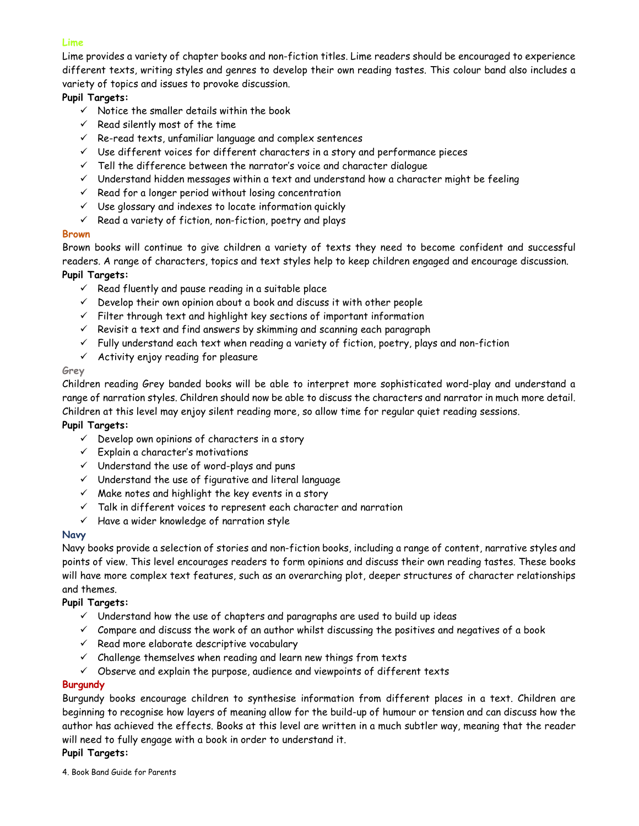#### **Lime**

Lime provides a variety of chapter books and non-fiction titles. Lime readers should be encouraged to experience different texts, writing styles and genres to develop their own reading tastes. This colour band also includes a variety of topics and issues to provoke discussion.

# **Pupil Targets:**

- $\checkmark$  Notice the smaller details within the book
- $\checkmark$  Read silently most of the time
- $\checkmark$  Re-read texts, unfamiliar language and complex sentences
- $\checkmark$  Use different voices for different characters in a story and performance pieces
- $\checkmark$  Tell the difference between the narrator's voice and character dialogue
- $\checkmark$  Understand hidden messages within a text and understand how a character might be feeling
- $\checkmark$  Read for a longer period without losing concentration
- $\checkmark$  Use glossary and indexes to locate information quickly
- $\checkmark$  Read a variety of fiction, non-fiction, poetry and plays

#### **Brown**

Brown books will continue to give children a variety of texts they need to become confident and successful readers. A range of characters, topics and text styles help to keep children engaged and encourage discussion. **Pupil Targets:** 

- $\checkmark$  Read fluently and pause reading in a suitable place
- $\checkmark$  Develop their own opinion about a book and discuss it with other people
- $\checkmark$  Filter through text and highlight key sections of important information
- $\checkmark$  Revisit a text and find answers by skimming and scanning each paragraph
- $\checkmark$  Fully understand each text when reading a variety of fiction, poetry, plays and non-fiction
- $\checkmark$  Activity enjoy reading for pleasure

#### **Grey**

Children reading Grey banded books will be able to interpret more sophisticated word-play and understand a range of narration styles. Children should now be able to discuss the characters and narrator in much more detail. Children at this level may enjoy silent reading more, so allow time for regular quiet reading sessions.

## **Pupil Targets:**

- $\checkmark$  Develop own opinions of characters in a story
- $\checkmark$  Explain a character's motivations
- $\checkmark$  Understand the use of word-plays and puns
- $\checkmark$  Understand the use of figurative and literal language
- $\checkmark$  Make notes and highlight the key events in a story
- $\checkmark$  Talk in different voices to represent each character and narration
- $\checkmark$  Have a wider knowledge of narration style

## **Navy**

Navy books provide a selection of stories and non-fiction books, including a range of content, narrative styles and points of view. This level encourages readers to form opinions and discuss their own reading tastes. These books will have more complex text features, such as an overarching plot, deeper structures of character relationships and themes.

## **Pupil Targets:**

- $\checkmark$  Understand how the use of chapters and paragraphs are used to build up ideas
- $\checkmark$  Compare and discuss the work of an author whilst discussing the positives and negatives of a book
- $\checkmark$  Read more elaborate descriptive vocabulary
- $\checkmark$  Challenge themselves when reading and learn new things from texts
- $\checkmark$  Observe and explain the purpose, audience and viewpoints of different texts

## **Burgundy**

Burgundy books encourage children to synthesise information from different places in a text. Children are beginning to recognise how layers of meaning allow for the build-up of humour or tension and can discuss how the author has achieved the effects. Books at this level are written in a much subtler way, meaning that the reader will need to fully engage with a book in order to understand it.

## **Pupil Targets:**

4. Book Band Guide for Parents